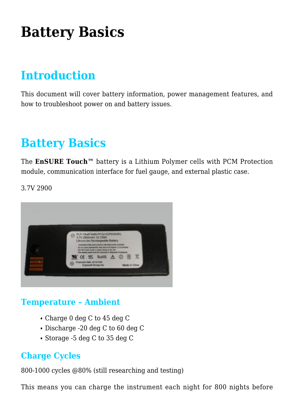# **[Battery Basics](https://help.hygiena.com/kb-doc/battery-basics/)**

## **Introduction**

This document will cover battery information, power management features, and how to troubleshoot power on and battery issues.

## **Battery Basics**

The **EnSURE Touch™** battery is a Lithium Polymer cells with PCM Protection module, communication interface for fuel gauge, and external plastic case.

3.7V 2900



#### **Temperature – Ambient**

- Charge 0 deg C to 45 deg C
- Discharge -20 deg C to 60 deg C
- Storage -5 deg C to 35 deg C

#### **Charge Cycles**

800-1000 cycles @80% (still researching and testing)

This means you can charge the instrument each night for 800 nights before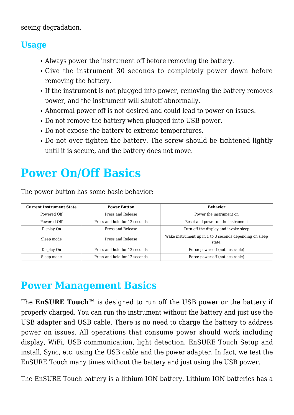seeing degradation.

#### **Usage**

- Always power the instrument off before removing the battery.
- Give the instrument 30 seconds to completely power down before removing the battery.
- If the instrument is not plugged into power, removing the battery removes power, and the instrument will shutoff abnormally.
- Abnormal power off is not desired and could lead to power on issues.
- Do not remove the battery when plugged into USB power.
- Do not expose the battery to extreme temperatures.
- Do not over tighten the battery. The screw should be tightened lightly until it is secure, and the battery does not move.

## **Power On/Off Basics**

The power button has some basic behavior:

| <b>Current Instrument State</b> | <b>Power Button</b>           | <b>Behavior</b>                                                   |
|---------------------------------|-------------------------------|-------------------------------------------------------------------|
| Powered Off                     | Press and Release             | Power the instrument on                                           |
| Powered Off                     | Press and hold for 12 seconds | Reset and power on the instrument                                 |
| Display On                      | Press and Release             | Turn off the display and invoke sleep                             |
| Sleep mode                      | Press and Release             | Wake instrument up in 1 to 3 seconds depending on sleep<br>state. |
| Display On                      | Press and hold for 12 seconds | Force power off (not desirable)                                   |
| Sleep mode                      | Press and hold for 12 seconds | Force power off (not desirable)                                   |

### **Power Management Basics**

The **EnSURE Touch™** is designed to run off the USB power or the battery if properly charged. You can run the instrument without the battery and just use the USB adapter and USB cable. There is no need to charge the battery to address power on issues. All operations that consume power should work including display, WiFi, USB communication, light detection, EnSURE Touch Setup and install, Sync, etc. using the USB cable and the power adapter. In fact, we test the EnSURE Touch many times without the battery and just using the USB power.

The EnSURE Touch battery is a lithium ION battery. Lithium ION batteries has a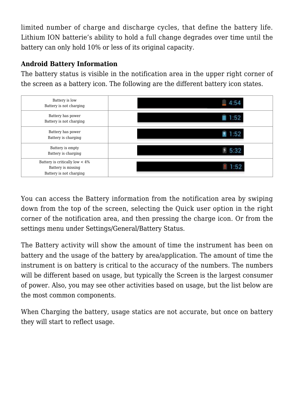limited number of charge and discharge cycles, that define the battery life. Lithium ION batterie's ability to hold a full change degrades over time until the battery can only hold 10% or less of its original capacity.

#### **Android Battery Information**

The battery status is visible in the notification area in the upper right corner of the screen as a battery icon. The following are the different battery icon states.



You can access the Battery information from the notification area by swiping down from the top of the screen, selecting the Quick user option in the right corner of the notification area, and then pressing the charge icon. Or from the settings menu under Settings/General/Battery Status.

The Battery activity will show the amount of time the instrument has been on battery and the usage of the battery by area/application. The amount of time the instrument is on battery is critical to the accuracy of the numbers. The numbers will be different based on usage, but typically the Screen is the largest consumer of power. Also, you may see other activities based on usage, but the list below are the most common components.

When Charging the battery, usage statics are not accurate, but once on battery they will start to reflect usage.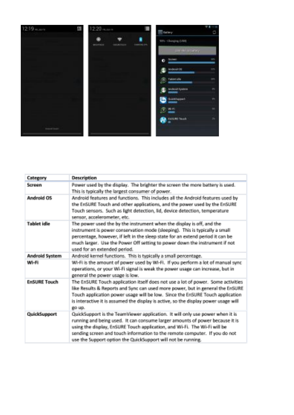

| Category              | Description                                                                                                                                                                                                                                                                                                                                                                              |
|-----------------------|------------------------------------------------------------------------------------------------------------------------------------------------------------------------------------------------------------------------------------------------------------------------------------------------------------------------------------------------------------------------------------------|
| Sensore               | Power used by the display. The brighter the screen the more battery is used.<br>This is typically the largest consumer of power.                                                                                                                                                                                                                                                         |
| Android OS            | Android features and functions. This includes all the Android features used by<br>the EnSURE Touch and other applications, and the power used by the EnSURE<br>Touch sensors. Such as light detection, lid, device detection, temperature<br>sensor, accelerometer, etc.                                                                                                                 |
| <b>Tablet idle</b>    | The power used the by the instrument when the display is off, and the<br>instrument is power conservation mode (sleeping). This is typically a small<br>percentage, however, if left in the sleep state for an extend period it can be<br>much larger. Use the Power Off setting to power down the instrument if not<br>used for an extended period.                                     |
| <b>Android System</b> | Android kernel functions. This is typically a small percentage.                                                                                                                                                                                                                                                                                                                          |
| WI-FI                 | WI-Fi is the amount of power used by WI-Fi. If you perform a lot of manual sync.<br>operations, or your Wi-Fi signal is weak the power usage can increase, but in<br>general the power usage is low.                                                                                                                                                                                     |
| <b>FeSURE Touch</b>   | The EnSURE Touch application itself does not use a lot of power. Some activities<br>like Results & Reports and Sync can used more power, but in remeral the EnSURE<br>Touch application power usage will be low. Since the EnSURE Touch application<br>is interactive it is assumed the display is active, so the display power usage will<br>go up.                                     |
| <b>QuickSupport</b>   | QuickSupport is the TeamViewer application. It will only use power when it is<br>running and being used. It can consume larger amounts of power because it is<br>using the display, EnSURE Touch application, and Wi-Fi. The Wi-Fi will be<br>sending screen and touch information to the remote computer. If you do not<br>use the Support option the QuickSupport will not be running. |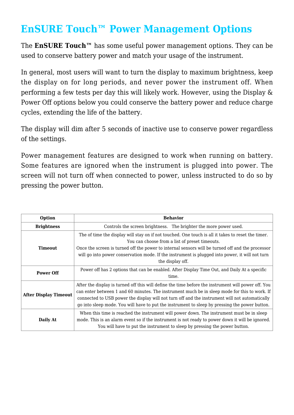### **EnSURE Touch™ Power Management Options**

The **EnSURE Touch™** has some useful power management options. They can be used to conserve battery power and match your usage of the instrument.

In general, most users will want to turn the display to maximum brightness, keep the display on for long periods, and never power the instrument off. When performing a few tests per day this will likely work. However, using the Display & Power Off options below you could conserve the battery power and reduce charge cycles, extending the life of the battery.

The display will dim after 5 seconds of inactive use to conserve power regardless of the settings.

Power management features are designed to work when running on battery. Some features are ignored when the instrument is plugged into power. The screen will not turn off when connected to power, unless instructed to do so by pressing the power button.

| Option                       | <b>Behavior</b>                                                                                                                                                                                                                                                                                                                                                                                          |  |
|------------------------------|----------------------------------------------------------------------------------------------------------------------------------------------------------------------------------------------------------------------------------------------------------------------------------------------------------------------------------------------------------------------------------------------------------|--|
| <b>Brightness</b>            | Controls the screen brightness. The brighter the more power used.                                                                                                                                                                                                                                                                                                                                        |  |
| <b>Timeout</b>               | The of time the display will stay on if not touched. One touch is all it takes to reset the timer.<br>You can choose from a list of preset timeouts.<br>Once the screen is turned off the power to internal sensors will be turned off and the processor<br>will go into power conservation mode. If the instrument is plugged into power, it will not turn<br>the display off.                          |  |
| <b>Power Off</b>             | Power off has 2 options that can be enabled. After Display Time Out, and Daily At a specific<br>time.                                                                                                                                                                                                                                                                                                    |  |
| <b>After Display Timeout</b> | After the display is turned off this will define the time before the instrument will power off. You<br>can enter between 1 and 60 minutes. The instrument much be in sleep mode for this to work. If<br>connected to USB power the display will not turn off and the instrument will not automatically<br>go into sleep mode. You will have to put the instrument to sleep by pressing the power button. |  |
| Daily At                     | When this time is reached the instrument will power down. The instrument must be in sleep<br>mode. This is an alarm event so if the instrument is not ready to power down it will be ignored.<br>You will have to put the instrument to sleep by pressing the power button.                                                                                                                              |  |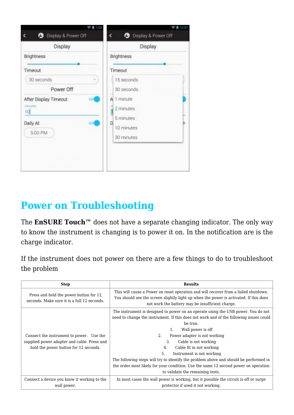| <b>C</b> Display & Power Off<br><b>C</b> Display & Power Off<br>¢<br>Display<br>Display<br><b>Brightness</b><br><b>Brightness</b><br>Timeout<br>Timeout<br>30 seconds<br>15 seconds<br>Power Off<br>30 seconds<br>A 1 minute<br>After Display Timeout<br>modes<br>2 minutes<br>10<br>5 minutes<br>Daily At<br>D<br>10 minutes<br>5:00 PM | <b>THE</b> | 12:57      |
|------------------------------------------------------------------------------------------------------------------------------------------------------------------------------------------------------------------------------------------------------------------------------------------------------------------------------------------|------------|------------|
|                                                                                                                                                                                                                                                                                                                                          |            |            |
|                                                                                                                                                                                                                                                                                                                                          |            |            |
|                                                                                                                                                                                                                                                                                                                                          |            |            |
|                                                                                                                                                                                                                                                                                                                                          |            |            |
|                                                                                                                                                                                                                                                                                                                                          |            |            |
|                                                                                                                                                                                                                                                                                                                                          |            |            |
|                                                                                                                                                                                                                                                                                                                                          |            |            |
|                                                                                                                                                                                                                                                                                                                                          |            |            |
|                                                                                                                                                                                                                                                                                                                                          |            |            |
|                                                                                                                                                                                                                                                                                                                                          |            |            |
|                                                                                                                                                                                                                                                                                                                                          |            | 30 minutes |
|                                                                                                                                                                                                                                                                                                                                          |            |            |
|                                                                                                                                                                                                                                                                                                                                          |            |            |

### **Power on Troubleshooting**

The **EnSURE Touch™** does not have a separate changing indicator. The only way to know the instrument is changing is to power it on. In the notification are is the charge indicator.

If the instrument does not power on there are a few things to do to troubleshoot the problem

| <b>Step</b>                                                                                                                      | <b>Results</b>                                                                                                                                                                                                                                                                                                                                                                                                                                                                                                                                                                  |
|----------------------------------------------------------------------------------------------------------------------------------|---------------------------------------------------------------------------------------------------------------------------------------------------------------------------------------------------------------------------------------------------------------------------------------------------------------------------------------------------------------------------------------------------------------------------------------------------------------------------------------------------------------------------------------------------------------------------------|
| Press and hold the power button for 12<br>seconds. Make sure it is a full 12 seconds.                                            | This will cause a Power on reset operation and will recover from a failed shutdown.<br>You should see the screen slightly light up when the power is activated. If this does<br>not work the battery may be insufficient charge.                                                                                                                                                                                                                                                                                                                                                |
| Connect the instrument to power. Use the<br>supplied power adapter and cable. Press and<br>hold the power button for 12 seconds. | The instrument is designed to power on an operate using the USB power. You do not<br>need to change the instrument. If this does not work and of the following issues could<br>be true.<br>Wall power is off<br>1.<br>2.<br>Power adapter is not working<br>3.<br>Cable is not working<br>Cable fit in not working<br>4.<br>5.<br>Instrument is not working<br>The following steps will try to identify the problem above and should be performed in<br>the order most likely for your condition. Use the same 12 second power on operation<br>to validate the remaining tests. |
| Connect a device you know it working to the<br>wall power.                                                                       | In most cases the wall power is working, but it possible the circuit is off or surge<br>protector if used it not working.                                                                                                                                                                                                                                                                                                                                                                                                                                                       |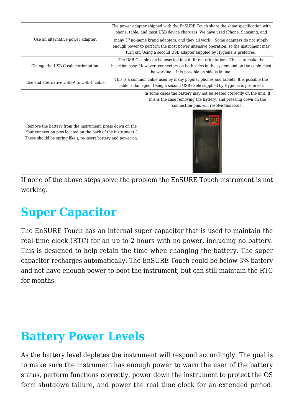|                                                                                                                                                                                             | The power adapter shipped with the EnSURE Touch share the same specification with<br>phone, table, and most USB device chargers. We have used iPhone, Samsung, and                                                                                        |                                                                                                                                                                                                                             |
|---------------------------------------------------------------------------------------------------------------------------------------------------------------------------------------------|-----------------------------------------------------------------------------------------------------------------------------------------------------------------------------------------------------------------------------------------------------------|-----------------------------------------------------------------------------------------------------------------------------------------------------------------------------------------------------------------------------|
| Use an alternative power adapter.                                                                                                                                                           | many 3 <sup>rd</sup> no-name brand adapters, and they all work. Some adapters do not supply<br>enough power to perform the most power intensive operation, so the instrument may<br>turn off. Using a second USB adapter suppled by Hygiena is preferred. |                                                                                                                                                                                                                             |
| Change the USB-C cable orientation.                                                                                                                                                         |                                                                                                                                                                                                                                                           | The USB-C cable can be inserted in 2 different orientations. This is to make the<br>insertion easy. However, connectors on both sides in the system and on the cable must<br>be working. It is possible on side is failing. |
| Use and alternative USB-A to USB-C cable                                                                                                                                                    | This is a common cable used by many popular phones and tablets. It is possible the<br>cable is damaged. Using a second USB cable supplied by Hygiena is preferred.                                                                                        |                                                                                                                                                                                                                             |
| Remove the battery from the instrument, press down on the<br>four connection pins located on the back of the instrument (<br>These should be spring like ), re-insert battery and power on. |                                                                                                                                                                                                                                                           | In some cases the battery may not be seated correctly on the unit. If<br>this is the case removing the battery, and pressing down on the<br>connection pins will resolve this issue.                                        |

If none of the above steps solve the problem the EnSURE Touch instrument is not working.

## **Super Capacitor**

The EnSURE Touch has an internal super capacitor that is used to maintain the real-time clock (RTC) for an up to 2 hours with no power, including no battery. This is designed to help retain the time when changing the battery. The super capacitor recharges automatically. The EnSURE Touch could be below 3% battery and not have enough power to boot the instrument, but can still maintain the RTC for months.

## **Battery Power Levels**

As the battery level depletes the instrument will respond accordingly. The goal is to make sure the instrument has enough power to warn the user of the battery status, perform functions correctly, power down the instrument to protect the OS form shutdown failure, and power the real time clock for an extended period.